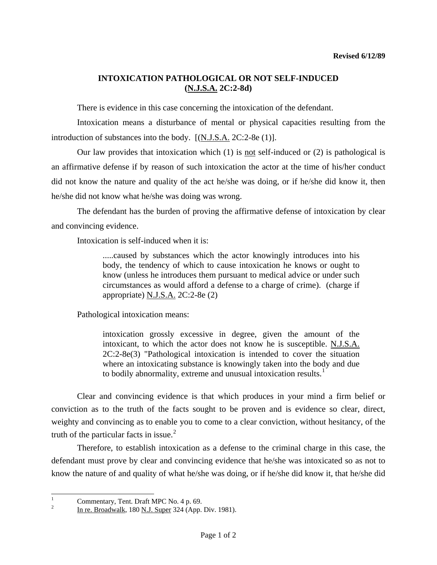## **INTOXICATION PATHOLOGICAL OR NOT SELF-INDUCED (N.J.S.A. 2C:2-8d)**

There is evidence in this case concerning the intoxication of the defendant.

 Intoxication means a disturbance of mental or physical capacities resulting from the introduction of substances into the body.  $[(N.J.S.A. 2C:2-8e (1)].$ 

Our law provides that intoxication which  $(1)$  is <u>not</u> self-induced or  $(2)$  is pathological is an affirmative defense if by reason of such intoxication the actor at the time of his/her conduct did not know the nature and quality of the act he/she was doing, or if he/she did know it, then he/she did not know what he/she was doing was wrong.

 The defendant has the burden of proving the affirmative defense of intoxication by clear and convincing evidence.

Intoxication is self-induced when it is:

.....caused by substances which the actor knowingly introduces into his body, the tendency of which to cause intoxication he knows or ought to know (unless he introduces them pursuant to medical advice or under such circumstances as would afford a defense to a charge of crime). (charge if appropriate) N.J.S.A. 2C:2-8e (2)

Pathological intoxication means:

intoxication grossly excessive in degree, given the amount of the intoxicant, to which the actor does not know he is susceptible. N.J.S.A. 2C:2-8e(3) "Pathological intoxication is intended to cover the situation where an intoxicating substance is knowingly taken into the body and due to bodily abnormality, extreme and unusual intoxication results.<sup>[1](#page-0-0)</sup>

 Clear and convincing evidence is that which produces in your mind a firm belief or conviction as to the truth of the facts sought to be proven and is evidence so clear, direct, weighty and convincing as to enable you to come to a clear conviction, without hesitancy, of the truth of the particular facts in issue. $<sup>2</sup>$  $<sup>2</sup>$  $<sup>2</sup>$ </sup>

 Therefore, to establish intoxication as a defense to the criminal charge in this case, the defendant must prove by clear and convincing evidence that he/she was intoxicated so as not to know the nature of and quality of what he/she was doing, or if he/she did know it, that he/she did

<span id="page-0-0"></span> $\frac{1}{1}$ <sup>1</sup> Commentary, Tent. Draft MPC No. 4 p. 69.<br> $\frac{2}{100}$  In the Proodivelly 180 N J. Super 224 (App.

<span id="page-0-1"></span>In re. Broadwalk, 180 N.J. Super 324 (App. Div. 1981).